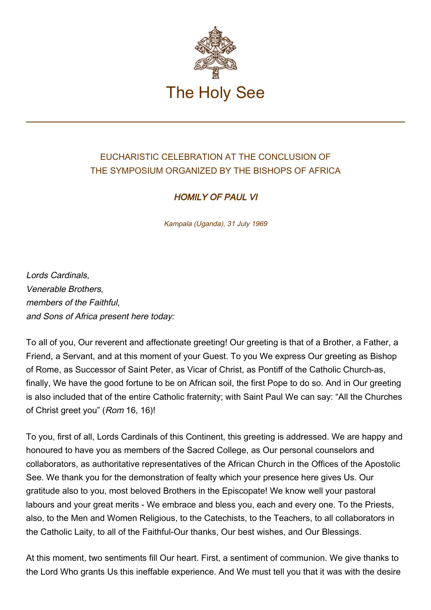

## EUCHARISTIC CELEBRATION AT THE CONCLUSION OF THE SYMPOSIUM ORGANIZED BY THE BISHOPS OF AFRICA

## HOMILY OF PAUL VI

Kampala (Uganda), 31 July 1969

Lords Cardinals, Venerable Brothers, members of the Faithful, and Sons of Africa present here today:

To all of you, Our reverent and affectionate greeting! Our greeting is that of a Brother, a Father, a Friend, a Servant, and at this moment of your Guest. To you We express Our greeting as Bishop of Rome, as Successor of Saint Peter, as Vicar of Christ, as Pontiff of the Catholic Church-as, finally, We have the good fortune to be on African soil, the first Pope to do so. And in Our greeting is also included that of the entire Catholic fraternity; with Saint Paul We can say: "All the Churches of Christ greet you" (Rom 16, 16)!

To you, first of all, Lords Cardinals of this Continent, this greeting is addressed. We are happy and honoured to have you as members of the Sacred College, as Our personal counselors and collaborators, as authoritative representatives of the African Church in the Offices of the Apostolic See. We thank you for the demonstration of fealty which your presence here gives Us. Our gratitude also to you, most beloved Brothers in the Episcopate! We know well your pastoral labours and your great merits - We embrace and bless you, each and every one. To the Priests, also, to the Men and Women Religious, to the Catechists, to the Teachers, to all collaborators in the Catholic Laity, to all of the Faithful-Our thanks, Our best wishes, and Our Blessings.

At this moment, two sentiments fill Our heart. First, a sentiment of communion. We give thanks to the Lord Who grants Us this ineffable experience. And We must tell you that it was with the desire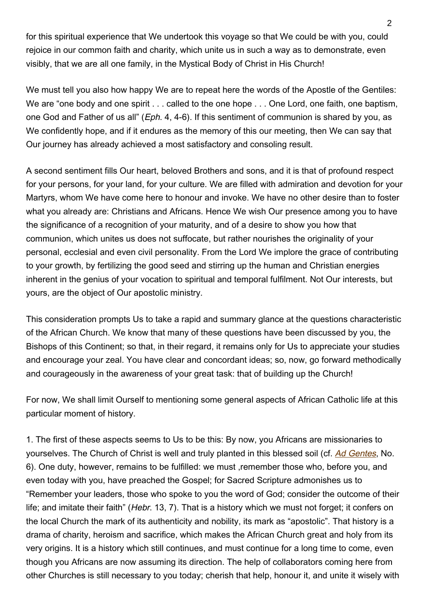for this spiritual experience that We undertook this voyage so that We could be with you, could rejoice in our common faith and charity, which unite us in such a way as to demonstrate, even visibly, that we are all one family, in the Mystical Body of Christ in His Church!

We must tell you also how happy We are to repeat here the words of the Apostle of the Gentiles: We are "one body and one spirit . . . called to the one hope . . . One Lord, one faith, one baptism, one God and Father of us all" (Eph. 4, 4-6). If this sentiment of communion is shared by you, as We confidently hope, and if it endures as the memory of this our meeting, then We can say that Our journey has already achieved a most satisfactory and consoling result.

A second sentiment fills Our heart, beloved Brothers and sons, and it is that of profound respect for your persons, for your land, for your culture. We are filled with admiration and devotion for your Martyrs, whom We have come here to honour and invoke. We have no other desire than to foster what you already are: Christians and Africans. Hence We wish Our presence among you to have the significance of a recognition of your maturity, and of a desire to show you how that communion, which unites us does not suffocate, but rather nourishes the originality of your personal, ecclesial and even civil personality. From the Lord We implore the grace of contributing to your growth, by fertilizing the good seed and stirring up the human and Christian energies inherent in the genius of your vocation to spiritual and temporal fulfilment. Not Our interests, but yours, are the object of Our apostolic ministry.

This consideration prompts Us to take a rapid and summary glance at the questions characteristic of the African Church. We know that many of these questions have been discussed by you, the Bishops of this Continent; so that, in their regard, it remains only for Us to appreciate your studies and encourage your zeal. You have clear and concordant ideas; so, now, go forward methodically and courageously in the awareness of your great task: that of building up the Church!

For now, We shall limit Ourself to mentioning some general aspects of African Catholic life at this particular moment of history.

1. The first of these aspects seems to Us to be this: By now, you Africans are missionaries to yourselves. The Church of Christ is well and truly planted in this blessed soil (cf. [Ad Gentes](http://www.vatican.va/archive/hist_councils/ii_vatican_council/documents/vat-ii_decree_19651207_ad-gentes_en.html), No. 6). One duty, however, remains to be fulfilled: we must ,remember those who, before you, and even today with you, have preached the Gospel; for Sacred Scripture admonishes us to "Remember your leaders, those who spoke to you the word of God; consider the outcome of their life; and imitate their faith" (Hebr. 13, 7). That is a history which we must not forget; it confers on the local Church the mark of its authenticity and nobility, its mark as "apostolic". That history is a drama of charity, heroism and sacrifice, which makes the African Church great and holy from its very origins. It is a history which still continues, and must continue for a long time to come, even though you Africans are now assuming its direction. The help of collaborators coming here from other Churches is still necessary to you today; cherish that help, honour it, and unite it wisely with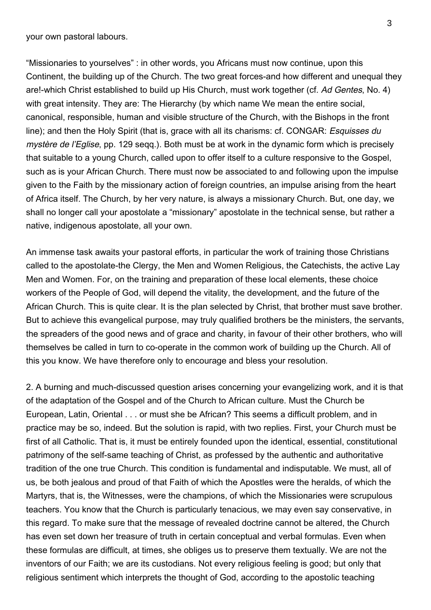your own pastoral labours.

"Missionaries to yourselves" : in other words, you Africans must now continue, upon this Continent, the building up of the Church. The two great forces-and how different and unequal they are!-which Christ established to build up His Church, must work together (cf. Ad Gentes, No. 4) with great intensity. They are: The Hierarchy (by which name We mean the entire social, canonical, responsible, human and visible structure of the Church, with the Bishops in the front line); and then the Holy Spirit (that is, grace with all its charisms: cf. CONGAR: Esquisses du mystère de l'Eglise, pp. 129 segg.). Both must be at work in the dynamic form which is precisely that suitable to a young Church, called upon to offer itself to a culture responsive to the Gospel, such as is your African Church. There must now be associated to and following upon the impulse given to the Faith by the missionary action of foreign countries, an impulse arising from the heart of Africa itself. The Church, by her very nature, is always a missionary Church. But, one day, we shall no longer call your apostolate a "missionary" apostolate in the technical sense, but rather a native, indigenous apostolate, all your own.

An immense task awaits your pastoral efforts, in particular the work of training those Christians called to the apostolate-the Clergy, the Men and Women Religious, the Catechists, the active Lay Men and Women. For, on the training and preparation of these local elements, these choice workers of the People of God, will depend the vitality, the development, and the future of the African Church. This is quite clear. It is the plan selected by Christ, that brother must save brother. But to achieve this evangelical purpose, may truly qualified brothers be the ministers, the servants, the spreaders of the good news and of grace and charity, in favour of their other brothers, who will themselves be called in turn to co-operate in the common work of building up the Church. All of this you know. We have therefore only to encourage and bless your resolution.

2. A burning and much-discussed question arises concerning your evangelizing work, and it is that of the adaptation of the Gospel and of the Church to African culture. Must the Church be European, Latin, Oriental . . . or must she be African? This seems a difficult problem, and in practice may be so, indeed. But the solution is rapid, with two replies. First, your Church must be first of all Catholic. That is, it must be entirely founded upon the identical, essential, constitutional patrimony of the self-same teaching of Christ, as professed by the authentic and authoritative tradition of the one true Church. This condition is fundamental and indisputable. We must, all of us, be both jealous and proud of that Faith of which the Apostles were the heralds, of which the Martyrs, that is, the Witnesses, were the champions, of which the Missionaries were scrupulous teachers. You know that the Church is particularly tenacious, we may even say conservative, in this regard. To make sure that the message of revealed doctrine cannot be altered, the Church has even set down her treasure of truth in certain conceptual and verbal formulas. Even when these formulas are difficult, at times, she obliges us to preserve them textually. We are not the inventors of our Faith; we are its custodians. Not every religious feeling is good; but only that religious sentiment which interprets the thought of God, according to the apostolic teaching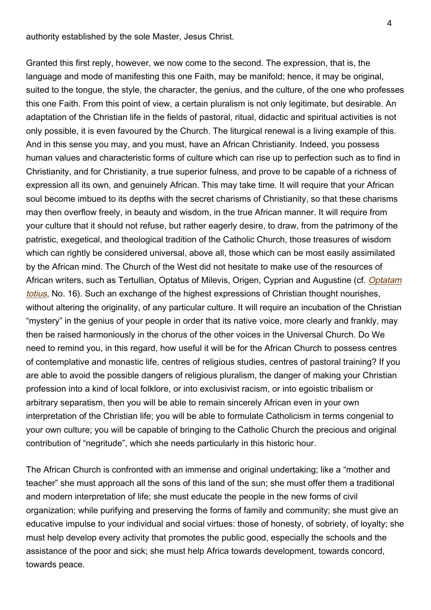authority established by the sole Master, Jesus Christ.

Granted this first reply, however, we now come to the second. The expression, that is, the language and mode of manifesting this one Faith, may be manifold; hence, it may be original, suited to the tongue, the style, the character, the genius, and the culture, of the one who professes this one Faith. From this point of view, a certain pluralism is not only legitimate, but desirable. An adaptation of the Christian life in the fields of pastoral, ritual, didactic and spiritual activities is not only possible, it is even favoured by the Church. The liturgical renewal is a living example of this. And in this sense you may, and you must, have an African Christianity. Indeed, you possess human values and characteristic forms of culture which can rise up to perfection such as to find in Christianity, and for Christianity, a true superior fulness, and prove to be capable of a richness of expression all its own, and genuinely African. This may take time. It will require that your African soul become imbued to its depths with the secret charisms of Christianity, so that these charisms may then overflow freely, in beauty and wisdom, in the true African manner. It will require from your culture that it should not refuse, but rather eagerly desire, to draw, from the patrimony of the patristic, exegetical, and theological tradition of the Catholic Church, those treasures of wisdom which can rightly be considered universal, above all, those which can be most easily assimilated by the African mind. The Church of the West did not hesitate to make use of the resources of African writers, such as Tertullian, Optatus of Milevis, Origen, Cyprian and Augustine (cf. *[Optatam](http://www.vatican.va/archive/hist_councils/ii_vatican_council/documents/vat-ii_decree_19651028_optatam-totius_en.html)* [totius](http://www.vatican.va/archive/hist_councils/ii_vatican_council/documents/vat-ii_decree_19651028_optatam-totius_en.html), No. 16). Such an exchange of the highest expressions of Christian thought nourishes, without altering the originality, of any particular culture. It will require an incubation of the Christian "mystery" in the genius of your people in order that its native voice, more clearly and frankly, may then be raised harmoniously in the chorus of the other voices in the Universal Church. Do We need to remind you, in this regard, how useful it will be for the African Church to possess centres of contemplative and monastic life, centres of religious studies, centres of pastoral training? If you are able to avoid the possible dangers of religious pluralism, the danger of making your Christian profession into a kind of local folklore, or into exclusivist racism, or into egoistic tribalism or arbitrary separatism, then you will be able to remain sincerely African even in your own interpretation of the Christian life; you will be able to formulate Catholicism in terms congenial to your own culture; you will be capable of bringing to the Catholic Church the precious and original contribution of "negritude", which she needs particularly in this historic hour.

The African Church is confronted with an immense and original undertaking; like a "mother and teacher" she must approach all the sons of this land of the sun; she must offer them a traditional and modern interpretation of life; she must educate the people in the new forms of civil organization; while purifying and preserving the forms of family and community; she must give an educative impulse to your individual and social virtues: those of honesty, of sobriety, of loyalty; she must help develop every activity that promotes the public good, especially the schools and the assistance of the poor and sick; she must help Africa towards development, towards concord, towards peace.